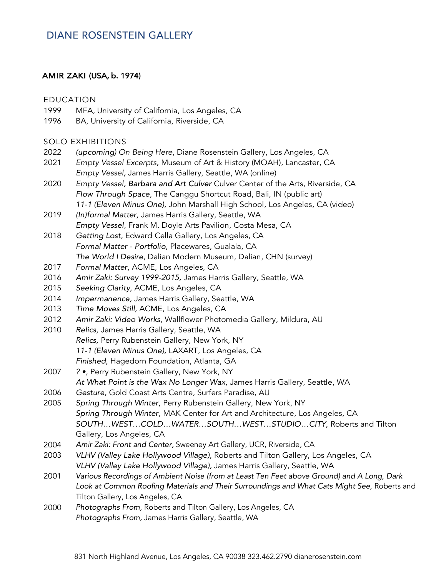## **DIANE ROSENSTEIN GALLERY**

### AMIR ZAKI (USA, b. 1974)

#### EDUCATION

- 1999 MFA, University of California, Los Angeles, CA
- 1996 BA, University of California, Riverside, CA

#### SOLO EXHIBITIONS

- 2022 *(upcoming) On Being Here*, Diane Rosenstein Gallery, Los Angeles, CA
- 2021 *Empty Vessel Excerpts,* Museum of Art & History (MOAH), Lancaster, CA *Empty Vessel,* James Harris Gallery, Seattle, WA (online)
- 2020 *Empty Vessel, Barbara and Art Culver* Culver Center of the Arts, Riverside, CA *Flow Through Space*, The Canggu Shortcut Road, Bali, IN (public art) *11-1 (Eleven Minus One)*, John Marshall High School, Los Angeles, CA (video)
- 2019 *(In)formal Matter,* James Harris Gallery, Seattle, WA *Empty Vessel*, Frank M. Doyle Arts Pavilion, Costa Mesa, CA
- 2018 *Getting Lost*, Edward Cella Gallery, Los Angeles, CA *Formal Matter - Portfolio*, Placewares, Gualala, CA *The World I Desire*, Dalian Modern Museum, Dalian, CHN (survey)
- 2017 *Formal Matter*, ACME, Los Angeles, CA
- 2016 *Amir Zaki: Survey 1999-2015,* James Harris Gallery, Seattle, WA
- 2015 *Seeking Clarity,* ACME, Los Angeles, CA
- 2014 *Impermanence,* James Harris Gallery, Seattle, WA
- 2013 *Time Moves Still,* ACME, Los Angeles, CA
- 2012 *Amir Zaki: Video Works,* Wallflower Photomedia Gallery, Mildura, AU
- 2010 *Relics,* James Harris Gallery, Seattle, WA *Relics,* Perry Rubenstein Gallery, New York, NY *11-1 (Eleven Minus One),* LAXART, Los Angeles, CA *Finished,* Hagedorn Foundation, Atlanta, GA
- 2007 *? •*, Perry Rubenstein Gallery, New York, NY *At What Point is the Wax No Longer Wax,* James Harris Gallery, Seattle, WA
- 2006 *Gesture,* Gold Coast Arts Centre, Surfers Paradise, AU
- 2005 *Spring Through Winter,* Perry Rubenstein Gallery, New York, NY *Spring Through Winter,* MAK Center for Art and Architecture, Los Angeles, CA *SOUTH…WEST…COLD…WATER…SOUTH…WEST…STUDIO…CITY,* Roberts and Tilton Gallery, Los Angeles, CA
- 2004 *Amir Zaki: Front and Center,* Sweeney Art Gallery, UCR, Riverside, CA
- 2003 *VLHV (Valley Lake Hollywood Village),* Roberts and Tilton Gallery, Los Angeles, CA *VLHV (Valley Lake Hollywood Village),* James Harris Gallery, Seattle, WA
- 2001 *Various Recordings of Ambient Noise (from at Least Ten Feet above Ground) and A Long, Dark*  Look at Common Roofing Materials and Their Surroundings and What Cats Might See, Roberts and Tilton Gallery, Los Angeles, CA
- 2000 *Photographs From,* Roberts and Tilton Gallery, Los Angeles, CA *Photographs From,* James Harris Gallery, Seattle, WA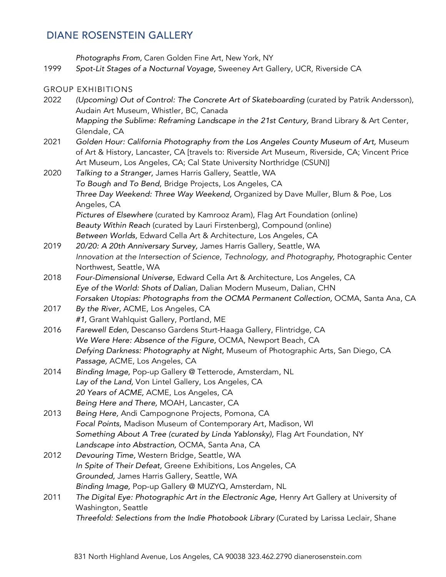## **DIANE ROSENSTEIN GALLERY**

*Photographs From,* Caren Golden Fine Art, New York, NY

1999 *Spot-Lit Stages of a Nocturnal Voyage,* Sweeney Art Gallery, UCR, Riverside CA

#### GROUP EXHIBITIONS

2022 *(Upcoming) Out of Control: The Concrete Art of Skateboarding* (curated by Patrik Andersson), Audain Art Museum, Whistler, BC, Canada *Mapping the Sublime: Reframing Landscape in the 21st Century, Brand Library & Art Center,* Glendale, CA 2021 *Golden Hour: California Photography from the Los Angeles County Museum of Art,* Museum of Art & History, Lancaster, CA [travels to: Riverside Art Museum, Riverside, CA; Vincent Price Art Museum, Los Angeles, CA; Cal State University Northridge (CSUN)] 2020 *Talking to a Stranger,* James Harris Gallery, Seattle, WA *To Bough and To Bend,* Bridge Projects, Los Angeles, CA *Three Day Weekend: Three Way Weekend,* Organized by Dave Muller, Blum & Poe, Los Angeles, CA *Pictures of Elsewhere* (curated by Kamrooz Aram), Flag Art Foundation (online) *Beauty Within Reach* (curated by Lauri Firstenberg), Compound (online) *Between Worlds,* Edward Cella Art & Architecture, Los Angeles, CA 2019 *20/20: A 20th Anniversary Survey,* James Harris Gallery, Seattle, WA *Innovation at the Intersection of Science, Technology, and Photography,* Photographic Center Northwest, Seattle, WA 2018 *Four-Dimensional Universe,* Edward Cella Art & Architecture, Los Angeles, CA *Eye of the World: Shots of Dalian,* Dalian Modern Museum, Dalian, CHN Forsaken Utopias: Photographs from the OCMA Permanent Collection, OCMA, Santa Ana, CA 2017 *By the River,* ACME, Los Angeles, CA *#1,* Grant Wahlquist Gallery, Portland, ME 2016 *Farewell Eden,* Descanso Gardens Sturt-Haaga Gallery, Flintridge, CA *We Were Here: Absence of the Figure,* OCMA, Newport Beach, CA *Defying Darkness: Photography at Night,* Museum of Photographic Arts, San Diego, CA *Passage,* ACME, Los Angeles, CA 2014 *Binding Image,* Pop-up Gallery @ Tetterode, Amsterdam, NL *Lay of the Land,* Von Lintel Gallery, Los Angeles, CA *20 Years of ACME,* ACME, Los Angeles, CA *Being Here and There,* MOAH, Lancaster, CA 2013 *Being Here,* Andi Campognone Projects, Pomona, CA *Focal Points,* Madison Museum of Contemporary Art, Madison, WI *Something About A Tree (curated by Linda Yablonsky),* Flag Art Foundation, NY *Landscape into Abstraction,* OCMA, Santa Ana, CA 2012 *Devouring Time,* Western Bridge, Seattle, WA *In Spite of Their Defeat,* Greene Exhibitions, Los Angeles, CA *Grounded,* James Harris Gallery, Seattle, WA *Binding Image,* Pop-up Gallery @ MUZYQ, Amsterdam, NL 2011 The Digital Eye: Photographic Art in the Electronic Age, Henry Art Gallery at University of Washington, Seattle

*Threefold: Selections from the Indie Photobook Library* (Curated by Larissa Leclair, Shane